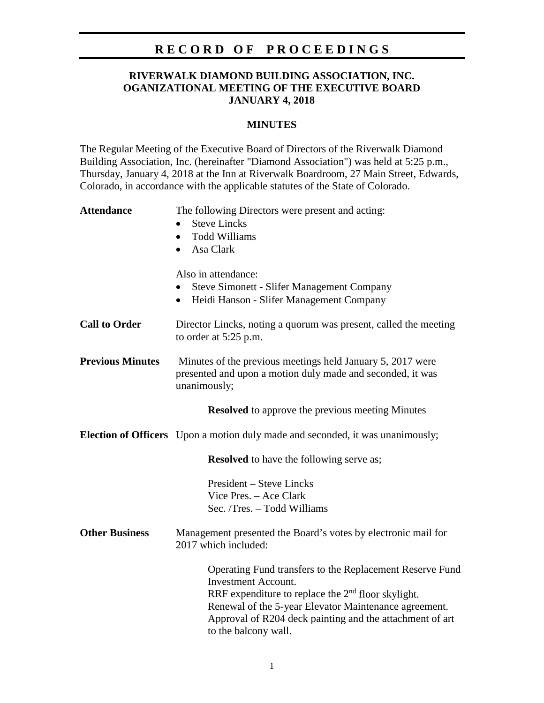## **R E C O R D O F P R O C E E D I N G S**

### **RIVERWALK DIAMOND BUILDING ASSOCIATION, INC. OGANIZATIONAL MEETING OF THE EXECUTIVE BOARD JANUARY 4, 2018**

#### **MINUTES**

The Regular Meeting of the Executive Board of Directors of the Riverwalk Diamond Building Association, Inc. (hereinafter "Diamond Association") was held at 5:25 p.m., Thursday, January 4, 2018 at the Inn at Riverwalk Boardroom, 27 Main Street, Edwards, Colorado, in accordance with the applicable statutes of the State of Colorado.

| <b>Attendance</b>       | The following Directors were present and acting:<br><b>Steve Lincks</b><br><b>Todd Williams</b><br>$\bullet$<br>Asa Clark<br>$\bullet$                                                                                                                                                                |
|-------------------------|-------------------------------------------------------------------------------------------------------------------------------------------------------------------------------------------------------------------------------------------------------------------------------------------------------|
|                         | Also in attendance:<br>Steve Simonett - Slifer Management Company<br>Heidi Hanson - Slifer Management Company<br>$\bullet$                                                                                                                                                                            |
| <b>Call to Order</b>    | Director Lincks, noting a quorum was present, called the meeting<br>to order at $5:25$ p.m.                                                                                                                                                                                                           |
| <b>Previous Minutes</b> | Minutes of the previous meetings held January 5, 2017 were<br>presented and upon a motion duly made and seconded, it was<br>unanimously;                                                                                                                                                              |
|                         | <b>Resolved</b> to approve the previous meeting Minutes                                                                                                                                                                                                                                               |
|                         | <b>Election of Officers</b> Upon a motion duly made and seconded, it was unanimously;                                                                                                                                                                                                                 |
|                         | <b>Resolved</b> to have the following serve as;                                                                                                                                                                                                                                                       |
|                         | <b>President – Steve Lincks</b><br>Vice Pres. - Ace Clark<br>Sec. /Tres. - Todd Williams                                                                                                                                                                                                              |
| <b>Other Business</b>   | Management presented the Board's votes by electronic mail for<br>2017 which included:                                                                                                                                                                                                                 |
|                         | Operating Fund transfers to the Replacement Reserve Fund<br><b>Investment Account.</b><br>RRF expenditure to replace the 2 <sup>nd</sup> floor skylight.<br>Renewal of the 5-year Elevator Maintenance agreement.<br>Approval of R204 deck painting and the attachment of art<br>to the balcony wall. |